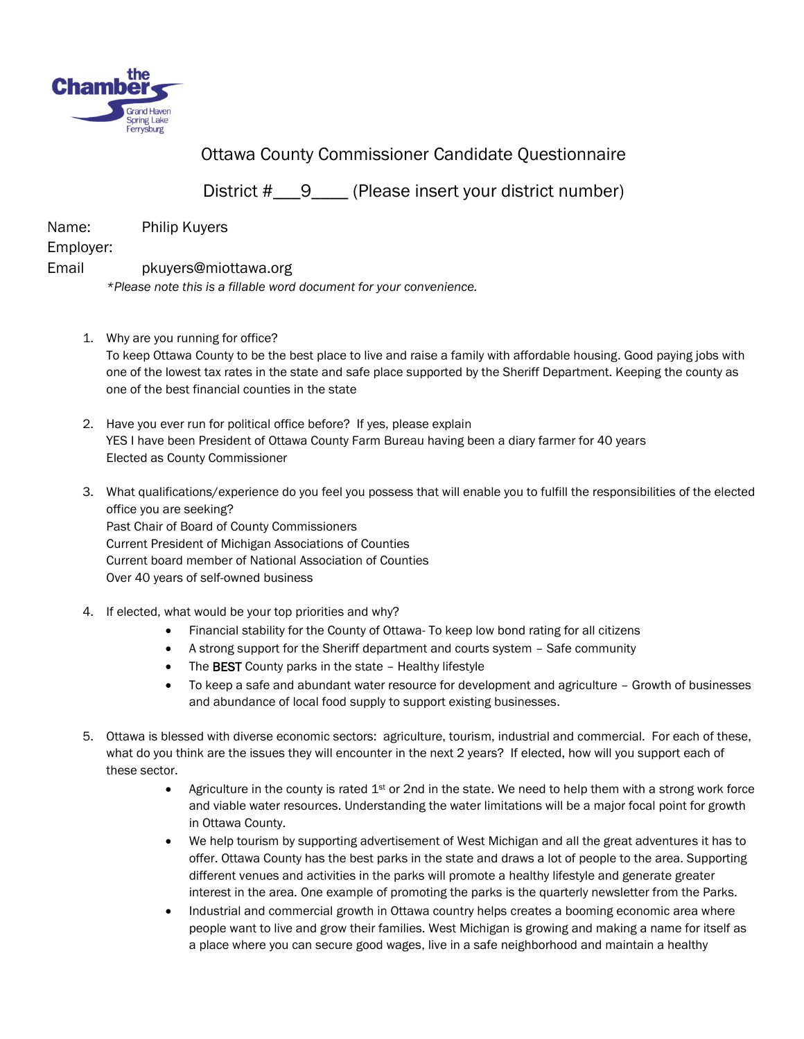

Ottawa County Commissioner Candidate Questionnaire

District #\_\_\_9\_\_\_\_ (Please insert your district number)

Name: Philip Kuyers

Employer:

## Email pkuyers@miottawa.org

*\*Please note this is a fillable word document for your convenience.* 

1. Why are you running for office?

To keep Ottawa County to be the best place to live and raise a family with affordable housing. Good paying jobs with one of the lowest tax rates in the state and safe place supported by the Sheriff Department. Keeping the county as one of the best financial counties in the state

- 2. Have you ever run for political office before? If yes, please explain YES I have been President of Ottawa County Farm Bureau having been a diary farmer for 40 years Elected as County Commissioner
- 3. What qualifications/experience do you feel you possess that will enable you to fulfill the responsibilities of the elected office you are seeking? Past Chair of Board of County Commissioners Current President of Michigan Associations of Counties Current board member of National Association of Counties Over 40 years of self-owned business
- 4. If elected, what would be your top priorities and why?
	- Financial stability for the County of Ottawa- To keep low bond rating for all citizens
	- A strong support for the Sheriff department and courts system Safe community
	- The BEST County parks in the state Healthy lifestyle
	- To keep a safe and abundant water resource for development and agriculture Growth of businesses and abundance of local food supply to support existing businesses.
- 5. Ottawa is blessed with diverse economic sectors: agriculture, tourism, industrial and commercial. For each of these, what do you think are the issues they will encounter in the next 2 years? If elected, how will you support each of these sector.
	- Agriculture in the county is rated  $1<sup>st</sup>$  or 2nd in the state. We need to help them with a strong work force and viable water resources. Understanding the water limitations will be a major focal point for growth in Ottawa County.
	- We help tourism by supporting advertisement of West Michigan and all the great adventures it has to offer. Ottawa County has the best parks in the state and draws a lot of people to the area. Supporting different venues and activities in the parks will promote a healthy lifestyle and generate greater interest in the area. One example of promoting the parks is the quarterly newsletter from the Parks.
	- Industrial and commercial growth in Ottawa country helps creates a booming economic area where people want to live and grow their families. West Michigan is growing and making a name for itself as a place where you can secure good wages, live in a safe neighborhood and maintain a healthy